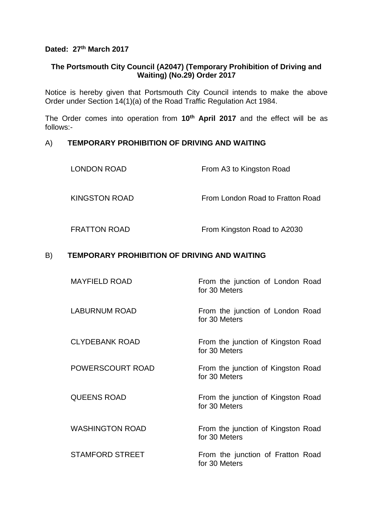# **Dated: 27th March 2017**

## **The Portsmouth City Council (A2047) (Temporary Prohibition of Driving and Waiting) (No.29) Order 2017**

Notice is hereby given that Portsmouth City Council intends to make the above Order under Section 14(1)(a) of the Road Traffic Regulation Act 1984.

The Order comes into operation from **10th April 2017** and the effect will be as follows:-

### A) **TEMPORARY PROHIBITION OF DRIVING AND WAITING**

| <b>LONDON ROAD</b>  | From A3 to Kingston Road         |
|---------------------|----------------------------------|
| KINGSTON ROAD       | From London Road to Fratton Road |
| <b>FRATTON ROAD</b> | From Kingston Road to A2030      |

### B) **TEMPORARY PROHIBITION OF DRIVING AND WAITING**

| <b>MAYFIELD ROAD</b>    | From the junction of London Road<br>for 30 Meters   |
|-------------------------|-----------------------------------------------------|
| <b>LABURNUM ROAD</b>    | From the junction of London Road<br>for 30 Meters   |
| <b>CLYDEBANK ROAD</b>   | From the junction of Kingston Road<br>for 30 Meters |
| <b>POWERSCOURT ROAD</b> | From the junction of Kingston Road<br>for 30 Meters |
| <b>QUEENS ROAD</b>      | From the junction of Kingston Road<br>for 30 Meters |
| <b>WASHINGTON ROAD</b>  | From the junction of Kingston Road<br>for 30 Meters |
| <b>STAMFORD STREET</b>  | From the junction of Fratton Road<br>for 30 Meters  |